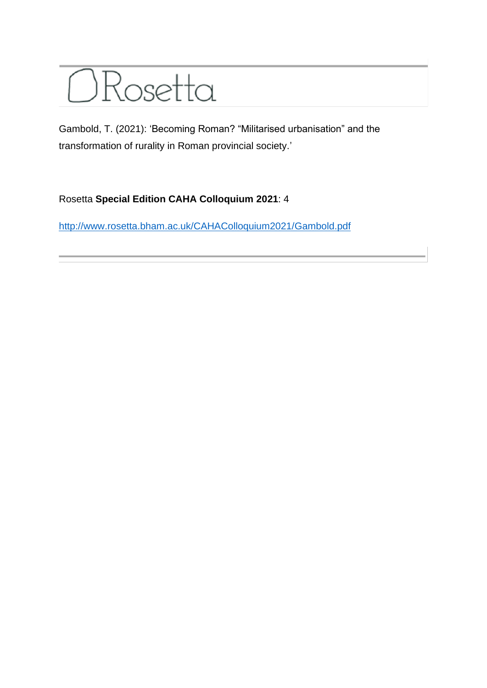

Gambold, T. (2021): 'Becoming Roman? "Militarised urbanisation" and the transformation of rurality in Roman provincial society.'

## Rosetta **Special Edition CAHA Colloquium 2021**: 4

<http://www.rosetta.bham.ac.uk/CAHAColloquium2021/Gambold.pdf>